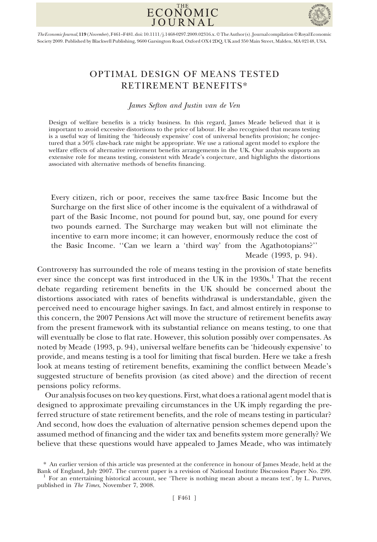



TheEconomicJournal, 119 (November), F461–F481. doi: 10.1111/j.1468-0297.2009.02316.x. © The Author(s). Journal compilation © Royal Economic Society 2009. Published by Blackwell Publishing, 9600 Garsington Road, Oxford OX4 2DQ, UK and 350 Main Street, Malden, MA 02148, USA.

# OPTIMAL DESIGN OF MEANS TESTED RETIREMENT BENEFITS\*

### James Sefton and Justin van de Ven

Design of welfare benefits is a tricky business. In this regard, James Meade believed that it is important to avoid excessive distortions to the price of labour. He also recognised that means testing is a useful way of limiting the 'hideously expensive' cost of universal benefits provision; he conjectured that a 50% claw-back rate might be appropriate. We use a rational agent model to explore the welfare effects of alternative retirement benefits arrangements in the UK. Our analysis supports an extensive role for means testing, consistent with Meade's conjecture, and highlights the distortions associated with alternative methods of benefits financing.

Every citizen, rich or poor, receives the same tax-free Basic Income but the Surcharge on the first slice of other income is the equivalent of a withdrawal of part of the Basic Income, not pound for pound but, say, one pound for every two pounds earned. The Surcharge may weaken but will not eliminate the incentive to earn more income; it can however, enormously reduce the cost of the Basic Income. ''Can we learn a 'third way' from the Agathotopians?'' Meade (1993, p. 94).

Controversy has surrounded the role of means testing in the provision of state benefits ever since the concept was first introduced in the UK in the 1930s.<sup>1</sup> That the recent debate regarding retirement benefits in the UK should be concerned about the distortions associated with rates of benefits withdrawal is understandable, given the perceived need to encourage higher savings. In fact, and almost entirely in response to this concern, the 2007 Pensions Act will move the structure of retirement benefits away from the present framework with its substantial reliance on means testing, to one that will eventually be close to flat rate. However, this solution possibly over compensates. As noted by Meade (1993, p. 94), universal welfare benefits can be 'hideously expensive' to provide, and means testing is a tool for limiting that fiscal burden. Here we take a fresh look at means testing of retirement benefits, examining the conflict between Meade's suggested structure of benefits provision (as cited above) and the direction of recent pensions policy reforms.

Our analysis focuses on two key questions. First, what does a rational agent model that is designed to approximate prevailing circumstances in the UK imply regarding the preferred structure of state retirement benefits, and the role of means testing in particular? And second, how does the evaluation of alternative pension schemes depend upon the assumed method of financing and the wider tax and benefits system more generally? We believe that these questions would have appealed to James Meade, who was intimately

<sup>\*</sup> An earlier version of this article was presented at the conference in honour of James Meade, held at the

 $1$  For an entertaining historical account, see 'There is nothing mean about a means test', by L. Purves, published in The Times, November 7, 2008.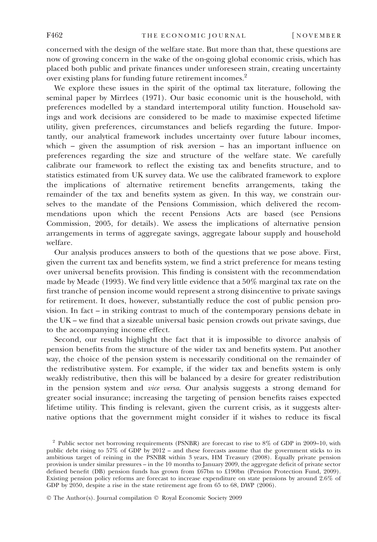concerned with the design of the welfare state. But more than that, these questions are now of growing concern in the wake of the on-going global economic crisis, which has placed both public and private finances under unforeseen strain, creating uncertainty over existing plans for funding future retirement incomes.<sup>2</sup>

We explore these issues in the spirit of the optimal tax literature, following the seminal paper by Mirrlees (1971). Our basic economic unit is the household, with preferences modelled by a standard intertemporal utility function. Household savings and work decisions are considered to be made to maximise expected lifetime utility, given preferences, circumstances and beliefs regarding the future. Importantly, our analytical framework includes uncertainty over future labour incomes, which – given the assumption of risk aversion – has an important influence on preferences regarding the size and structure of the welfare state. We carefully calibrate our framework to reflect the existing tax and benefits structure, and to statistics estimated from UK survey data. We use the calibrated framework to explore the implications of alternative retirement benefits arrangements, taking the remainder of the tax and benefits system as given. In this way, we constrain ourselves to the mandate of the Pensions Commission, which delivered the recommendations upon which the recent Pensions Acts are based (see Pensions Commission, 2005, for details). We assess the implications of alternative pension arrangements in terms of aggregate savings, aggregate labour supply and household welfare.

Our analysis produces answers to both of the questions that we pose above. First, given the current tax and benefits system, we find a strict preference for means testing over universal benefits provision. This finding is consistent with the recommendation made by Meade (1993). We find very little evidence that a 50% marginal tax rate on the first tranche of pension income would represent a strong disincentive to private savings for retirement. It does, however, substantially reduce the cost of public pension provision. In fact – in striking contrast to much of the contemporary pensions debate in the UK – we find that a sizeable universal basic pension crowds out private savings, due to the accompanying income effect.

Second, our results highlight the fact that it is impossible to divorce analysis of pension benefits from the structure of the wider tax and benefits system. Put another way, the choice of the pension system is necessarily conditional on the remainder of the redistributive system. For example, if the wider tax and benefits system is only weakly redistributive, then this will be balanced by a desire for greater redistribution in the pension system and *vice versa*. Our analysis suggests a strong demand for greater social insurance; increasing the targeting of pension benefits raises expected lifetime utility. This finding is relevant, given the current crisis, as it suggests alternative options that the government might consider if it wishes to reduce its fiscal

<sup>2</sup> Public sector net borrowing requirements (PSNBR) are forecast to rise to 8% of GDP in 2009–10, with public debt rising to 57% of GDP by 2012 – and these forecasts assume that the government sticks to its ambitious target of reining in the PSNBR within 3 years, HM Treasury (2008). Equally private pension provision is under similar pressures – in the 10 months to January 2009, the aggregate deficit of private sector defined benefit (DB) pension funds has grown from £67bn to £190bn (Pension Protection Fund, 2009). Existing pension policy reforms are forecast to increase expenditure on state pensions by around 2.6% of GDP by 2050, despite a rise in the state retirement age from 65 to 68, DWP (2006).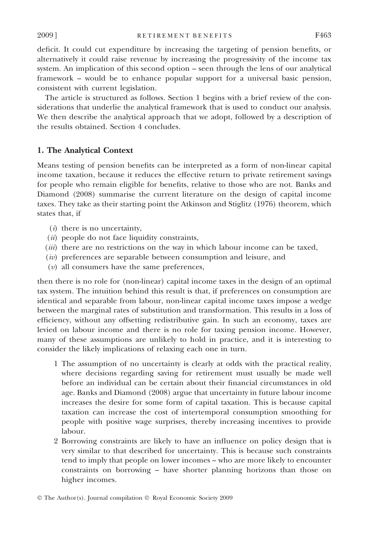deficit. It could cut expenditure by increasing the targeting of pension benefits, or alternatively it could raise revenue by increasing the progressivity of the income tax system. An implication of this second option – seen through the lens of our analytical framework – would be to enhance popular support for a universal basic pension, consistent with current legislation.

The article is structured as follows. Section 1 begins with a brief review of the considerations that underlie the analytical framework that is used to conduct our analysis. We then describe the analytical approach that we adopt, followed by a description of the results obtained. Section 4 concludes.

### 1. The Analytical Context

Means testing of pension benefits can be interpreted as a form of non-linear capital income taxation, because it reduces the effective return to private retirement savings for people who remain eligible for benefits, relative to those who are not. Banks and Diamond (2008) summarise the current literature on the design of capital income taxes. They take as their starting point the Atkinson and Stiglitz (1976) theorem, which states that, if

- (i) there is no uncertainty,
- (ii) people do not face liquidity constraints,
- $(iii)$  there are no restrictions on the way in which labour income can be taxed,
- (iv) preferences are separable between consumption and leisure, and
- (v) all consumers have the same preferences,

then there is no role for (non-linear) capital income taxes in the design of an optimal tax system. The intuition behind this result is that, if preferences on consumption are identical and separable from labour, non-linear capital income taxes impose a wedge between the marginal rates of substitution and transformation. This results in a loss of efficiency, without any offsetting redistributive gain. In such an economy, taxes are levied on labour income and there is no role for taxing pension income. However, many of these assumptions are unlikely to hold in practice, and it is interesting to consider the likely implications of relaxing each one in turn.

- 1 The assumption of no uncertainty is clearly at odds with the practical reality, where decisions regarding saving for retirement must usually be made well before an individual can be certain about their financial circumstances in old age. Banks and Diamond (2008) argue that uncertainty in future labour income increases the desire for some form of capital taxation. This is because capital taxation can increase the cost of intertemporal consumption smoothing for people with positive wage surprises, thereby increasing incentives to provide labour.
- 2 Borrowing constraints are likely to have an influence on policy design that is very similar to that described for uncertainty. This is because such constraints tend to imply that people on lower incomes – who are more likely to encounter constraints on borrowing – have shorter planning horizons than those on higher incomes.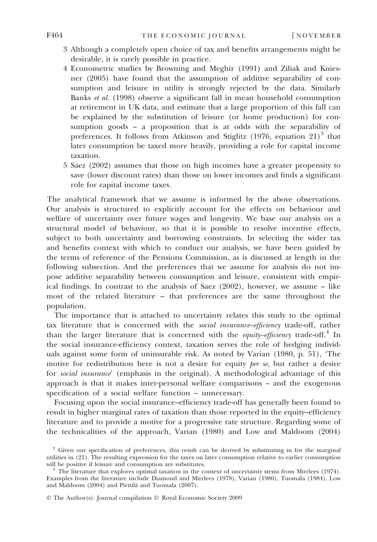- 3 Although a completely open choice of tax and benefits arrangements might be desirable, it is rarely possible in practice.
- 4 Econometric studies by Browning and Meghir (1991) and Ziliak and Kniesner (2005) have found that the assumption of additive separability of consumption and leisure in utility is strongly rejected by the data. Similarly Banks et al. (1998) observe a significant fall in mean household consumption at retirement in UK data, and estimate that a large proportion of this fall can be explained by the substitution of leisure (or home production) for consumption goods – a proposition that is at odds with the separability of preferences. It follows from Atkinson and Stiglitz (1976, equation 21)<sup>3</sup> that later consumption be taxed more heavily, providing a role for capital income taxation.
- 5 Saez (2002) assumes that those on high incomes have a greater propensity to save (lower discount rates) than those on lower incomes and finds a significant role for capital income taxes.

The analytical framework that we assume is informed by the above observations. Our analysis is structured to explicitly account for the effects on behaviour and welfare of uncertainty over future wages and longevity. We base our analysis on a structural model of behaviour, so that it is possible to resolve incentive effects, subject to both uncertainty and borrowing constraints. In selecting the wider tax and benefits context with which to conduct our analysis, we have been guided by the terms of reference of the Pensions Commission, as is discussed at length in the following subsection. And the preferences that we assume for analysis do not impose additive separability between consumption and leisure, consistent with empirical findings. In contrast to the analysis of Saez (2002), however, we assume – like most of the related literature – that preferences are the same throughout the population.

The importance that is attached to uncertainty relates this study to the optimal tax literature that is concerned with the social insurance–efficiency trade-off, rather than the larger literature that is concerned with the equity-efficiency trade-off.<sup>4</sup> In the social insurance-efficiency context, taxation serves the role of hedging individuals against some form of uninsurable risk. As noted by Varian (1980, p. 51), 'The motive for redistribution here is not a desire for equity per se, but rather a desire for social insurance' (emphasis in the original). A methodological advantage of this approach is that it makes inter-personal welfare comparisons – and the exogenous specification of a social welfare function – unnecessary.

Focusing upon the social insurance–efficiency trade-off has generally been found to result in higher marginal rates of taxation than those reported in the equity–efficiency literature and to provide a motive for a progressive rate structure. Regarding some of the technicalities of the approach, Varian (1980) and Low and Maldoom (2004)

<sup>&</sup>lt;sup>3</sup> Given our specification of preferences, this result can be derived by substituting in for the marginal utilities in (21). The resulting expression for the taxes on later consumption relative to earlier consumption

 $4$  The literature that explores optimal taxation in the context of uncertainty stems from Mirrlees (1974). Examples from the literature include Diamond and Mirrlees (1978), Varian (1980), Tuomala (1984), Low and Maldoom (2004) and Pirttilä and Tuomala (2007).

<sup>©</sup> The Author(s). Journal compilation © Royal Economic Society 2009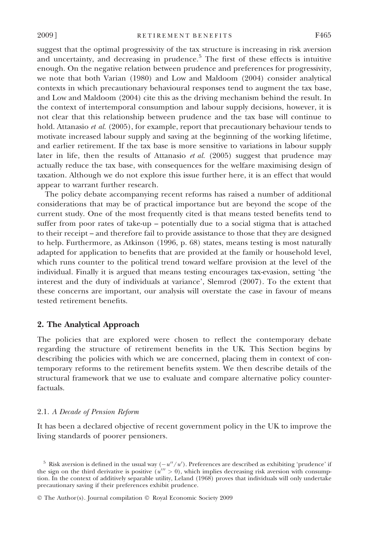suggest that the optimal progressivity of the tax structure is increasing in risk aversion and uncertainty, and decreasing in prudence.<sup>5</sup> The first of these effects is intuitive enough. On the negative relation between prudence and preferences for progressivity, we note that both Varian (1980) and Low and Maldoom (2004) consider analytical contexts in which precautionary behavioural responses tend to augment the tax base, and Low and Maldoom (2004) cite this as the driving mechanism behind the result. In the context of intertemporal consumption and labour supply decisions, however, it is not clear that this relationship between prudence and the tax base will continue to hold. Attanasio et al. (2005), for example, report that precautionary behaviour tends to motivate increased labour supply and saving at the beginning of the working lifetime, and earlier retirement. If the tax base is more sensitive to variations in labour supply later in life, then the results of Attanasio et al.  $(2005)$  suggest that prudence may actually reduce the tax base, with consequences for the welfare maximising design of taxation. Although we do not explore this issue further here, it is an effect that would appear to warrant further research.

The policy debate accompanying recent reforms has raised a number of additional considerations that may be of practical importance but are beyond the scope of the current study. One of the most frequently cited is that means tested benefits tend to suffer from poor rates of take-up – potentially due to a social stigma that is attached to their receipt – and therefore fail to provide assistance to those that they are designed to help. Furthermore, as Atkinson (1996, p. 68) states, means testing is most naturally adapted for application to benefits that are provided at the family or household level, which runs counter to the political trend toward welfare provision at the level of the individual. Finally it is argued that means testing encourages tax-evasion, setting 'the interest and the duty of individuals at variance', Slemrod (2007). To the extent that these concerns are important, our analysis will overstate the case in favour of means tested retirement benefits.

# 2. The Analytical Approach

The policies that are explored were chosen to reflect the contemporary debate regarding the structure of retirement benefits in the UK. This Section begins by describing the policies with which we are concerned, placing them in context of contemporary reforms to the retirement benefits system. We then describe details of the structural framework that we use to evaluate and compare alternative policy counterfactuals.

#### 2.1. A Decade of Pension Reform

It has been a declared objective of recent government policy in the UK to improve the living standards of poorer pensioners.

<sup>&</sup>lt;sup>5</sup> Risk aversion is defined in the usual way  $(-u''/u')$ . Preferences are described as exhibiting 'prudence' if the sign on the third derivative is positive  $(u''' > 0)$ , which implies decreasing risk aversion with consumption. In the context of additively separable utility, Leland (1968) proves that individuals will only undertake precautionary saving if their preferences exhibit prudence.

<sup>©</sup> The Author(s). Journal compilation © Royal Economic Society 2009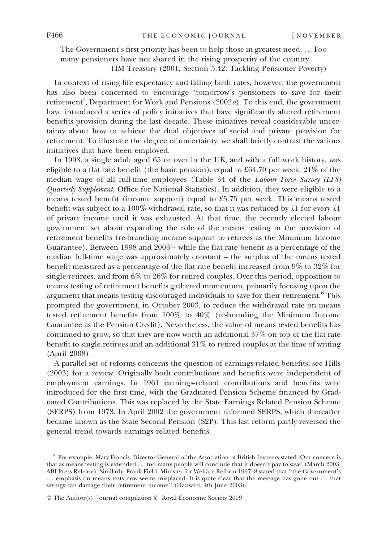# The Government's first priority has been to help those in greatest need. ...Too many pensioners have not shared in the rising prosperity of the country. HM Treasury (2001, Section 5.42: Tackling Pensioner Poverty)

In context of rising life expectancy and falling birth rates, however, the government has also been concerned to encourage 'tomorrow's pensioners to save for their retirement', Department for Work and Pensions  $(2002a)$ . To this end, the government have introduced a series of policy initiatives that have significantly altered retirement benefits provision during the last decade. These initiatives reveal considerable uncertainty about how to achieve the dual objectives of social and private provision for retirement. To illustrate the degree of uncertainty, we shall briefly contrast the various initiatives that have been employed.

In 1998, a single adult aged 65 or over in the UK, and with a full work history, was eligible to a flat rate benefit (the basic pension), equal to £64.70 per week, 21% of the median wage of all full-time employees (Table 34 of the Labour Force Survey (LFS) Quarterly Supplement, Office for National Statistics). In addition, they were eligible to a means tested benefit (income support) equal to £5.75 per week. This means tested benefit was subject to a 100% withdrawal rate, so that it was reduced by £1 for every £1 of private income until it was exhausted. At that time, the recently elected labour government set about expanding the role of the means testing in the provision of retirement benefits (re-branding income support to retirees as the Minimum Income Guarantee). Between 1998 and  $2003$  – while the flat rate benefit as a percentage of the median full-time wage was approximately constant – the surplus of the means tested benefit measured as a percentage of the flat rate benefit increased from 9% to 32% for single retirees, and from 6% to 26% for retired couples. Over this period, opposition to means testing of retirement benefits gathered momentum, primarily focusing upon the argument that means testing discouraged individuals to save for their retirement.<sup>6</sup> This prompted the government, in October 2003, to reduce the withdrawal rate on means tested retirement benefits from 100% to 40% (re-branding the Minimum Income Guarantee as the Pension Credit). Nevertheless, the value of means tested benefits has continued to grow, so that they are now worth an additional 37% on top of the flat rate benefit to single retirees and an additional 31% to retired couples at the time of writing (April 2008).

A parallel set of reforms concerns the question of earnings-related benefits; see Hills (2003) for a review. Originally both contributions and benefits were independent of employment earnings. In 1961 earnings-related contributions and benefits were introduced for the first time, with the Graduated Pension Scheme financed by Graduated Contributions. This was replaced by the State Earnings Related Pension Scheme (SERPS) from 1978. In April 2002 the government reformed SERPS, which thereafter became known as the State Second Pension (S2P). This last reform partly reversed the general trend towards earnings related benefits.

<sup>6</sup> For example, Mary Francis, Director General of the Association of British Insurers stated 'Our concern is that as means testing is extended ... too many people will conclude that it doesn't pay to save' (March 2003, ABI Press Release). Similarly, Frank Field, Minister for Welfare Reform 1997–8 stated that ''the Government's ... emphasis on means tests now seems misplaced. It is quite clear that the message has gone out ... that savings can damage their retirement income'' (Hansard, 4th June 2003).

<sup>©</sup> The Author(s). Journal compilation © Royal Economic Society 2009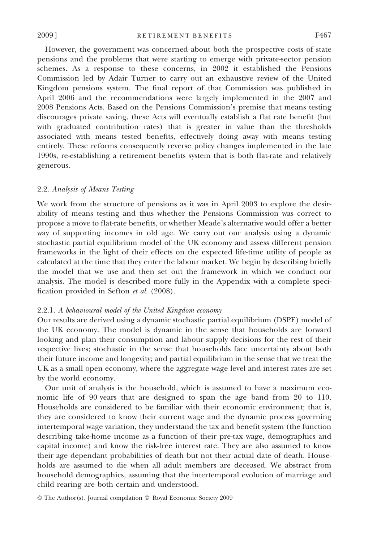However, the government was concerned about both the prospective costs of state pensions and the problems that were starting to emerge with private-sector pension schemes. As a response to these concerns, in 2002 it established the Pensions Commission led by Adair Turner to carry out an exhaustive review of the United Kingdom pensions system. The final report of that Commission was published in April 2006 and the recommendations were largely implemented in the 2007 and 2008 Pensions Acts. Based on the Pensions Commission's premise that means testing discourages private saving, these Acts will eventually establish a flat rate benefit (but with graduated contribution rates) that is greater in value than the thresholds associated with means tested benefits, effectively doing away with means testing entirely. These reforms consequently reverse policy changes implemented in the late 1990s, re-establishing a retirement benefits system that is both flat-rate and relatively generous.

#### 2.2. Analysis of Means Testing

We work from the structure of pensions as it was in April 2003 to explore the desirability of means testing and thus whether the Pensions Commission was correct to propose a move to flat-rate benefits, or whether Meade's alternative would offer a better way of supporting incomes in old age. We carry out our analysis using a dynamic stochastic partial equilibrium model of the UK economy and assess different pension frameworks in the light of their effects on the expected life-time utility of people as calculated at the time that they enter the labour market. We begin by describing briefly the model that we use and then set out the framework in which we conduct our analysis. The model is described more fully in the Appendix with a complete specification provided in Sefton et al. (2008).

# 2.2.1. A behavioural model of the United Kingdom economy

Our results are derived using a dynamic stochastic partial equilibrium (DSPE) model of the UK economy. The model is dynamic in the sense that households are forward looking and plan their consumption and labour supply decisions for the rest of their respective lives; stochastic in the sense that households face uncertainty about both their future income and longevity; and partial equilibrium in the sense that we treat the UK as a small open economy, where the aggregate wage level and interest rates are set by the world economy.

Our unit of analysis is the household, which is assumed to have a maximum economic life of 90 years that are designed to span the age band from 20 to 110. Households are considered to be familiar with their economic environment; that is, they are considered to know their current wage and the dynamic process governing intertemporal wage variation, they understand the tax and benefit system (the function describing take-home income as a function of their pre-tax wage, demographics and capital income) and know the risk-free interest rate. They are also assumed to know their age dependant probabilities of death but not their actual date of death. Households are assumed to die when all adult members are deceased. We abstract from household demographics, assuming that the intertemporal evolution of marriage and child rearing are both certain and understood.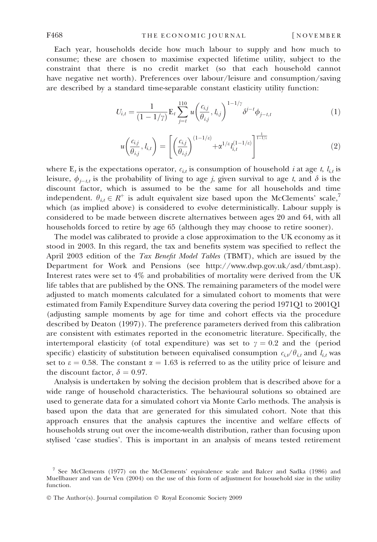Each year, households decide how much labour to supply and how much to consume; these are chosen to maximise expected lifetime utility, subject to the constraint that there is no credit market (so that each household cannot have negative net worth). Preferences over labour/leisure and consumption/saving are described by a standard time-separable constant elasticity utility function:

$$
U_{i,t} = \frac{1}{(1 - 1/\gamma)} \mathbf{E}_t \sum_{j=t}^{110} u \left( \frac{c_{i,j}}{\theta_{i,j}}, l_{i,j} \right)^{1 - 1/\gamma} \delta^{j-t} \phi_{j-t,t}
$$
(1)

$$
u\left(\frac{c_{i,j}}{\theta_{i,j}}, l_{i,t}\right) = \left[\left(\frac{c_{i,j}}{\theta_{i,j}}\right)^{(1-1/\varepsilon)} + \alpha^{1/\varepsilon} l_{i,t}^{(1-1/\varepsilon)}\right]^{\frac{1}{1-1/\varepsilon}}
$$
(2)

where  $E_t$  is the expectations operator,  $c_{i,t}$  is consumption of household *i* at age *t*,  $l_{i,t}$  is leisure,  $\phi_{j-t,t}$  is the probability of living to age j, given survival to age t, and  $\delta$  is the discount factor, which is assumed to be the same for all households and time independent.  $\theta_{i,t} \in R^+$  is adult equivalent size based upon the McClements' scale,<sup>7</sup> which (as implied above) is considered to evolve deterministically. Labour supply is considered to be made between discrete alternatives between ages 20 and 64, with all households forced to retire by age 65 (although they may choose to retire sooner).

The model was calibrated to provide a close approximation to the UK economy as it stood in 2003. In this regard, the tax and benefits system was specified to reflect the April 2003 edition of the Tax Benefit Model Tables (TBMT), which are issued by the Department for Work and Pensions (see http://www.dwp.gov.uk/asd/tbmt.asp). Interest rates were set to 4% and probabilities of mortality were derived from the UK life tables that are published by the ONS. The remaining parameters of the model were adjusted to match moments calculated for a simulated cohort to moments that were estimated from Family Expenditure Survey data covering the period 1971Q1 to 2001Q1 (adjusting sample moments by age for time and cohort effects via the procedure described by Deaton (1997)). The preference parameters derived from this calibration are consistent with estimates reported in the econometric literature. Specifically, the intertemporal elasticity (of total expenditure) was set to  $\gamma = 0.2$  and the (period specific) elasticity of substitution between equivalised consumption  $c_{i,t}/\theta_{i,t}$  and  $l_{i,t}$  was set to  $\varepsilon = 0.58$ . The constant  $\alpha = 1.63$  is referred to as the utility price of leisure and the discount factor,  $\delta = 0.97$ .

Analysis is undertaken by solving the decision problem that is described above for a wide range of household characteristics. The behavioural solutions so obtained are used to generate data for a simulated cohort via Monte Carlo methods. The analysis is based upon the data that are generated for this simulated cohort. Note that this approach ensures that the analysis captures the incentive and welfare effects of households strung out over the income-wealth distribution, rather than focusing upon stylised 'case studies'. This is important in an analysis of means tested retirement

<sup>7</sup> See McClements (1977) on the McClements' equivalence scale and Balcer and Sadka (1986) and Muellbauer and van de Ven (2004) on the use of this form of adjustment for household size in the utility function.

<sup>©</sup> The Author(s). Journal compilation © Royal Economic Society 2009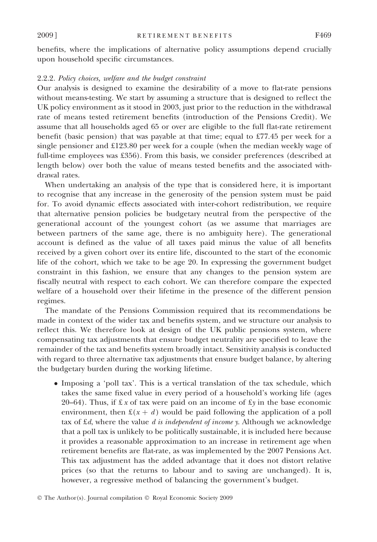benefits, where the implications of alternative policy assumptions depend crucially upon household specific circumstances.

# 2.2.2. Policy choices, welfare and the budget constraint

Our analysis is designed to examine the desirability of a move to flat-rate pensions without means-testing. We start by assuming a structure that is designed to reflect the UK policy environment as it stood in 2003, just prior to the reduction in the withdrawal rate of means tested retirement benefits (introduction of the Pensions Credit). We assume that all households aged 65 or over are eligible to the full flat-rate retirement benefit (basic pension) that was payable at that time; equal to £77.45 per week for a single pensioner and £123.80 per week for a couple (when the median weekly wage of full-time employees was £356). From this basis, we consider preferences (described at length below) over both the value of means tested benefits and the associated withdrawal rates.

When undertaking an analysis of the type that is considered here, it is important to recognise that any increase in the generosity of the pension system must be paid for. To avoid dynamic effects associated with inter-cohort redistribution, we require that alternative pension policies be budgetary neutral from the perspective of the generational account of the youngest cohort (as we assume that marriages are between partners of the same age, there is no ambiguity here). The generational account is defined as the value of all taxes paid minus the value of all benefits received by a given cohort over its entire life, discounted to the start of the economic life of the cohort, which we take to be age 20. In expressing the government budget constraint in this fashion, we ensure that any changes to the pension system are fiscally neutral with respect to each cohort. We can therefore compare the expected welfare of a household over their lifetime in the presence of the different pension regimes.

The mandate of the Pensions Commission required that its recommendations be made in context of the wider tax and benefits system, and we structure our analysis to reflect this. We therefore look at design of the UK public pensions system, where compensating tax adjustments that ensure budget neutrality are specified to leave the remainder of the tax and benefits system broadly intact. Sensitivity analysis is conducted with regard to three alternative tax adjustments that ensure budget balance, by altering the budgetary burden during the working lifetime.

 Imposing a 'poll tax'. This is a vertical translation of the tax schedule, which takes the same fixed value in every period of a household's working life (ages 20–64). Thus, if  $\pounds x$  of tax were paid on an income of  $\pounds y$  in the base economic environment, then  $f(x + d)$  would be paid following the application of a poll tax of  $Ed$ , where the value  $d$  is independent of income y. Although we acknowledge that a poll tax is unlikely to be politically sustainable, it is included here because it provides a reasonable approximation to an increase in retirement age when retirement benefits are flat-rate, as was implemented by the 2007 Pensions Act. This tax adjustment has the added advantage that it does not distort relative prices (so that the returns to labour and to saving are unchanged). It is, however, a regressive method of balancing the government's budget.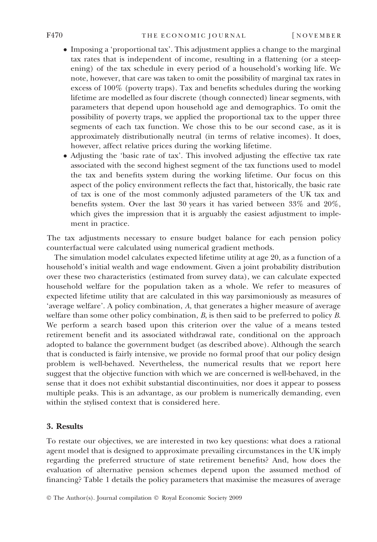- Imposing a 'proportional tax'. This adjustment applies a change to the marginal tax rates that is independent of income, resulting in a flattening (or a steepening) of the tax schedule in every period of a household's working life. We note, however, that care was taken to omit the possibility of marginal tax rates in excess of 100% (poverty traps). Tax and benefits schedules during the working lifetime are modelled as four discrete (though connected) linear segments, with parameters that depend upon household age and demographics. To omit the possibility of poverty traps, we applied the proportional tax to the upper three segments of each tax function. We chose this to be our second case, as it is approximately distributionally neutral (in terms of relative incomes). It does, however, affect relative prices during the working lifetime.
- Adjusting the 'basic rate of tax'. This involved adjusting the effective tax rate associated with the second highest segment of the tax functions used to model the tax and benefits system during the working lifetime. Our focus on this aspect of the policy environment reflects the fact that, historically, the basic rate of tax is one of the most commonly adjusted parameters of the UK tax and benefits system. Over the last 30 years it has varied between 33% and 20%, which gives the impression that it is arguably the easiest adjustment to implement in practice.

The tax adjustments necessary to ensure budget balance for each pension policy counterfactual were calculated using numerical gradient methods.

The simulation model calculates expected lifetime utility at age 20, as a function of a household's initial wealth and wage endowment. Given a joint probability distribution over these two characteristics (estimated from survey data), we can calculate expected household welfare for the population taken as a whole. We refer to measures of expected lifetime utility that are calculated in this way parsimoniously as measures of 'average welfare'. A policy combination, A, that generates a higher measure of average welfare than some other policy combination,  $B$ , is then said to be preferred to policy  $\overline{B}$ . We perform a search based upon this criterion over the value of a means tested retirement benefit and its associated withdrawal rate, conditional on the approach adopted to balance the government budget (as described above). Although the search that is conducted is fairly intensive, we provide no formal proof that our policy design problem is well-behaved. Nevertheless, the numerical results that we report here suggest that the objective function with which we are concerned is well-behaved, in the sense that it does not exhibit substantial discontinuities, nor does it appear to possess multiple peaks. This is an advantage, as our problem is numerically demanding, even within the stylised context that is considered here.

## 3. Results

To restate our objectives, we are interested in two key questions: what does a rational agent model that is designed to approximate prevailing circumstances in the UK imply regarding the preferred structure of state retirement benefits? And, how does the evaluation of alternative pension schemes depend upon the assumed method of financing? Table 1 details the policy parameters that maximise the measures of average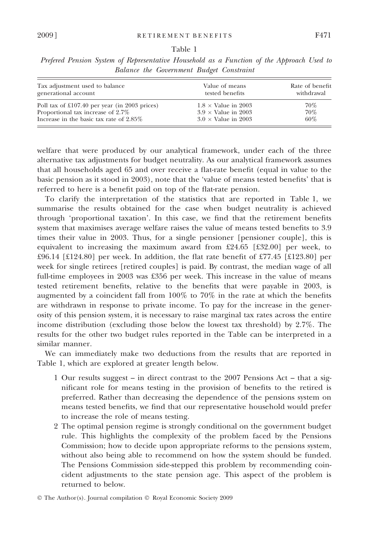| . .<br>w<br>٧<br>v<br>1, 11<br>×<br>۰, |  |
|----------------------------------------|--|
|----------------------------------------|--|

| Tax adjustment used to balance<br>generational account | Value of means<br>tested benefits | Rate of benefit<br>withdrawal |
|--------------------------------------------------------|-----------------------------------|-------------------------------|
| Poll tax of £107.40 per year (in 2003 prices)          | $1.8 \times$ Value in 2003        | 70%                           |
| Proportional tax increase of 2.7%                      | $3.9 \times$ Value in 2003        | 70%                           |
| Increase in the basic tax rate of 2.85%                | $3.0 \times$ Value in 2003        | $60\%$                        |

Prefered Pension System of Representative Household as a Function of the Approach Used to Balance the Government Budget Constraint

welfare that were produced by our analytical framework, under each of the three alternative tax adjustments for budget neutrality. As our analytical framework assumes that all households aged 65 and over receive a flat-rate benefit (equal in value to the basic pension as it stood in 2003), note that the 'value of means tested benefits' that is referred to here is a benefit paid on top of the flat-rate pension.

To clarify the interpretation of the statistics that are reported in Table 1, we summarise the results obtained for the case when budget neutrality is achieved through 'proportional taxation'. In this case, we find that the retirement benefits system that maximises average welfare raises the value of means tested benefits to 3.9 times their value in 2003. Thus, for a single pensioner [pensioner couple], this is equivalent to increasing the maximum award from  $£24.65$  [£32.00] per week, to £96.14 [£124.80] per week. In addition, the flat rate benefit of £77.45 [£123.80] per week for single retirees [retired couples] is paid. By contrast, the median wage of all full-time employees in 2003 was £356 per week. This increase in the value of means tested retirement benefits, relative to the benefits that were payable in 2003, is augmented by a coincident fall from 100% to 70% in the rate at which the benefits are withdrawn in response to private income. To pay for the increase in the generosity of this pension system, it is necessary to raise marginal tax rates across the entire income distribution (excluding those below the lowest tax threshold) by 2.7%. The results for the other two budget rules reported in the Table can be interpreted in a similar manner.

We can immediately make two deductions from the results that are reported in Table 1, which are explored at greater length below.

- 1 Our results suggest in direct contrast to the 2007 Pensions Act that a significant role for means testing in the provision of benefits to the retired is preferred. Rather than decreasing the dependence of the pensions system on means tested benefits, we find that our representative household would prefer to increase the role of means testing.
- 2 The optimal pension regime is strongly conditional on the government budget rule. This highlights the complexity of the problem faced by the Pensions Commission; how to decide upon appropriate reforms to the pensions system, without also being able to recommend on how the system should be funded. The Pensions Commission side-stepped this problem by recommending coincident adjustments to the state pension age. This aspect of the problem is returned to below.

<sup>©</sup> The Author(s). Journal compilation © Royal Economic Society 2009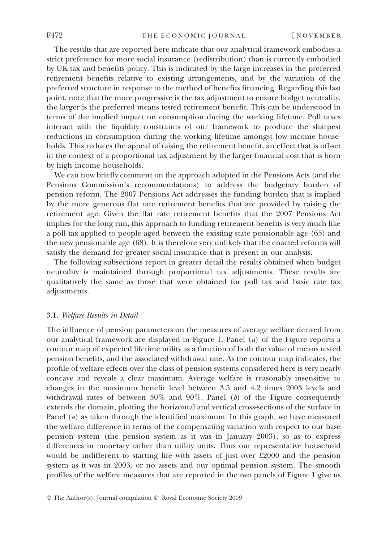The results that are reported here indicate that our analytical framework embodies a strict preference for more social insurance (redistribution) than is currently embodied by UK tax and benefits policy. This is indicated by the large increases in the preferred retirement benefits relative to existing arrangements, and by the variation of the preferred structure in response to the method of benefits financing. Regarding this last point, note that the more progressive is the tax adjustment to ensure budget neutrality, the larger is the preferred means tested retirement benefit. This can be understood in terms of the implied impact on consumption during the working lifetime. Poll taxes interact with the liquidity constraints of our framework to produce the sharpest reductions in consumption during the working lifetime amongst low income households. This reduces the appeal of raising the retirement benefit, an effect that is off-set in the context of a proportional tax adjustment by the larger financial cost that is born by high income households.

We can now briefly comment on the approach adopted in the Pensions Acts (and the Pensions Commission's recommendations) to address the budgetary burden of pension reform. The 2007 Pensions Act addresses the funding burden that is implied by the more generous flat rate retirement benefits that are provided by raising the retirement age. Given the flat rate retirement benefits that the 2007 Pensions Act implies for the long run, this approach to funding retirement benefits is very much like a poll tax applied to people aged between the existing state pensionable age (65) and the new pensionable age (68). It is therefore very unlikely that the enacted reforms will satisfy the demand for greater social insurance that is present in our analysis.

The following subsections report in greater detail the results obtained when budget neutrality is maintained through proportional tax adjustments. These results are qualitatively the same as those that were obtained for poll tax and basic rate tax adjustments.

#### 3.1. Welfare Results in Detail

The influence of pension parameters on the measures of average welfare derived from our analytical framework are displayed in Figure 1. Panel (a) of the Figure reports a contour map of expected lifetime utility as a function of both the value of means tested pension benefits, and the associated withdrawal rate. As the contour map indicates, the profile of welfare effects over the class of pension systems considered here is very nearly concave and reveals a clear maximum. Average welfare is reasonably insensitive to changes in the maximum benefit level between 3.5 and 4.2 times 2003 levels and withdrawal rates of between  $50\%$  and  $90\%$ . Panel (b) of the Figure consequently extends the domain, plotting the horizontal and vertical cross-sections of the surface in Panel (a) as taken through the identified maximum. In this graph, we have measured the welfare difference in terms of the compensating variation with respect to our base pension system (the pension system as it was in January 2003), so as to express differences in monetary rather than utility units. Thus our representative household would be indifferent to starting life with assets of just over £2000 and the pension system as it was in 2003, or no assets and our optimal pension system. The smooth profiles of the welfare measures that are reported in the two panels of Figure 1 give us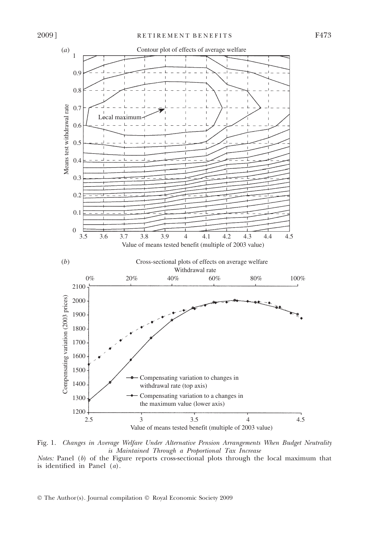

Fig. 1. Changes in Average Welfare Under Alternative Pension Arrangements When Budget Neutrality is Maintained Through a Proportional Tax Increase

Notes: Panel (b) of the Figure reports cross-sectional plots through the local maximum that is identified in Panel (a).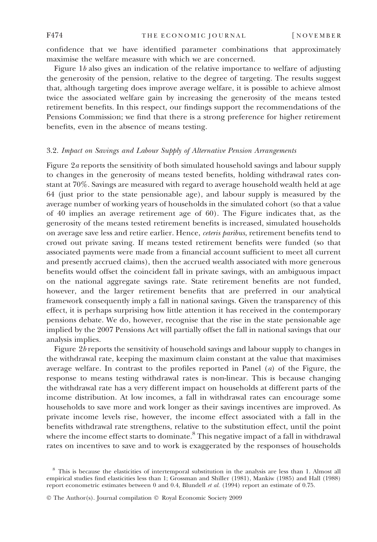confidence that we have identified parameter combinations that approximately maximise the welfare measure with which we are concerned.

Figure 1b also gives an indication of the relative importance to welfare of adjusting the generosity of the pension, relative to the degree of targeting. The results suggest that, although targeting does improve average welfare, it is possible to achieve almost twice the associated welfare gain by increasing the generosity of the means tested retirement benefits. In this respect, our findings support the recommendations of the Pensions Commission; we find that there is a strong preference for higher retirement benefits, even in the absence of means testing.

#### 3.2. Impact on Savings and Labour Supply of Alternative Pension Arrangements

Figure 2a reports the sensitivity of both simulated household savings and labour supply to changes in the generosity of means tested benefits, holding withdrawal rates constant at 70%. Savings are measured with regard to average household wealth held at age 64 (just prior to the state pensionable age), and labour supply is measured by the average number of working years of households in the simulated cohort (so that a value of 40 implies an average retirement age of 60). The Figure indicates that, as the generosity of the means tested retirement benefits is increased, simulated households on average save less and retire earlier. Hence, ceteris paribus, retirement benefits tend to crowd out private saving. If means tested retirement benefits were funded (so that associated payments were made from a financial account sufficient to meet all current and presently accrued claims), then the accrued wealth associated with more generous benefits would offset the coincident fall in private savings, with an ambiguous impact on the national aggregate savings rate. State retirement benefits are not funded, however, and the larger retirement benefits that are preferred in our analytical framework consequently imply a fall in national savings. Given the transparency of this effect, it is perhaps surprising how little attention it has received in the contemporary pensions debate. We do, however, recognise that the rise in the state pensionable age implied by the 2007 Pensions Act will partially offset the fall in national savings that our analysis implies.

Figure 2b reports the sensitivity of household savings and labour supply to changes in the withdrawal rate, keeping the maximum claim constant at the value that maximises average welfare. In contrast to the profiles reported in Panel  $(a)$  of the Figure, the response to means testing withdrawal rates is non-linear. This is because changing the withdrawal rate has a very different impact on households at different parts of the income distribution. At low incomes, a fall in withdrawal rates can encourage some households to save more and work longer as their savings incentives are improved. As private income levels rise, however, the income effect associated with a fall in the benefits withdrawal rate strengthens, relative to the substitution effect, until the point where the income effect starts to dominate.<sup>8</sup> This negative impact of a fall in withdrawal rates on incentives to save and to work is exaggerated by the responses of households

<sup>8</sup> This is because the elasticities of intertemporal substitution in the analysis are less than 1. Almost all empirical studies find elasticities less than 1; Grossman and Shiller (1981), Mankiw (1985) and Hall (1988) report econometric estimates between 0 and 0.4, Blundell *et al.* (1994) report an estimate of 0.75.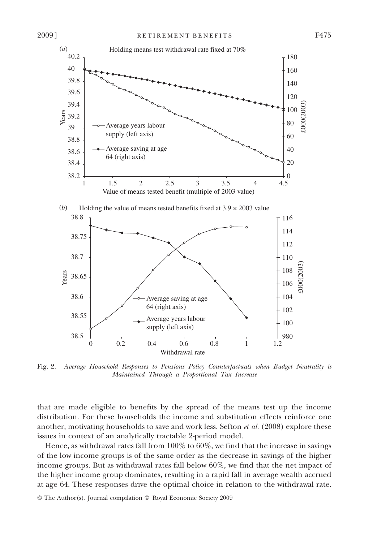

Fig. 2. Average Household Responses to Pensions Policy Counterfactuals when Budget Neutrality is Maintained Through a Proportional Tax Increase

that are made eligible to benefits by the spread of the means test up the income distribution. For these households the income and substitution effects reinforce one another, motivating households to save and work less. Sefton et al. (2008) explore these issues in context of an analytically tractable 2-period model.

Hence, as withdrawal rates fall from 100% to 60%, we find that the increase in savings of the low income groups is of the same order as the decrease in savings of the higher income groups. But as withdrawal rates fall below 60%, we find that the net impact of the higher income group dominates, resulting in a rapid fall in average wealth accrued at age 64. These responses drive the optimal choice in relation to the withdrawal rate.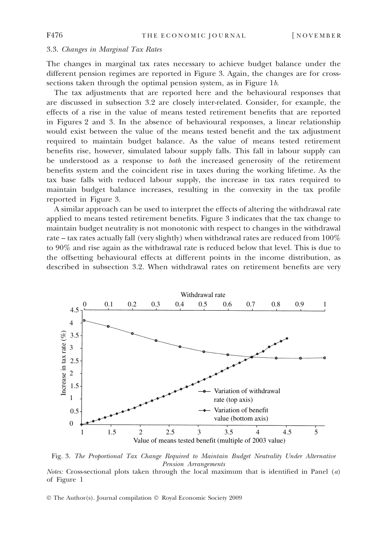## 3.3. Changes in Marginal Tax Rates

The changes in marginal tax rates necessary to achieve budget balance under the different pension regimes are reported in Figure 3. Again, the changes are for crosssections taken through the optimal pension system, as in Figure 1b.

The tax adjustments that are reported here and the behavioural responses that are discussed in subsection 3.2 are closely inter-related. Consider, for example, the effects of a rise in the value of means tested retirement benefits that are reported in Figures 2 and 3. In the absence of behavioural responses, a linear relationship would exist between the value of the means tested benefit and the tax adjustment required to maintain budget balance. As the value of means tested retirement benefits rise, however, simulated labour supply falls. This fall in labour supply can be understood as a response to *both* the increased generosity of the retirement benefits system and the coincident rise in taxes during the working lifetime. As the tax base falls with reduced labour supply, the increase in tax rates required to maintain budget balance increases, resulting in the convexity in the tax profile reported in Figure 3.

A similar approach can be used to interpret the effects of altering the withdrawal rate applied to means tested retirement benefits. Figure 3 indicates that the tax change to maintain budget neutrality is not monotonic with respect to changes in the withdrawal rate – tax rates actually fall (very slightly) when withdrawal rates are reduced from 100% to 90% and rise again as the withdrawal rate is reduced below that level. This is due to the offsetting behavioural effects at different points in the income distribution, as described in subsection 3.2. When withdrawal rates on retirement benefits are very



Fig. 3. The Proportional Tax Change Required to Maintain Budget Neutrality Under Alternative Pension Arrangements

*Notes:* Cross-sectional plots taken through the local maximum that is identified in Panel  $(a)$ of Figure 1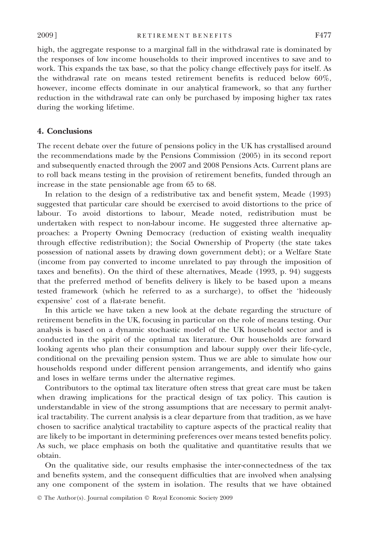high, the aggregate response to a marginal fall in the withdrawal rate is dominated by the responses of low income households to their improved incentives to save and to work. This expands the tax base, so that the policy change effectively pays for itself. As the withdrawal rate on means tested retirement benefits is reduced below 60%, however, income effects dominate in our analytical framework, so that any further reduction in the withdrawal rate can only be purchased by imposing higher tax rates during the working lifetime.

## 4. Conclusions

The recent debate over the future of pensions policy in the UK has crystallised around the recommendations made by the Pensions Commission (2005) in its second report and subsequently enacted through the 2007 and 2008 Pensions Acts. Current plans are to roll back means testing in the provision of retirement benefits, funded through an increase in the state pensionable age from 65 to 68.

In relation to the design of a redistributive tax and benefit system, Meade (1993) suggested that particular care should be exercised to avoid distortions to the price of labour. To avoid distortions to labour, Meade noted, redistribution must be undertaken with respect to non-labour income. He suggested three alternative approaches: a Property Owning Democracy (reduction of existing wealth inequality through effective redistribution); the Social Ownership of Property (the state takes possession of national assets by drawing down government debt); or a Welfare State (income from pay converted to income unrelated to pay through the imposition of taxes and benefits). On the third of these alternatives, Meade (1993, p. 94) suggests that the preferred method of benefits delivery is likely to be based upon a means tested framework (which he referred to as a surcharge), to offset the 'hideously expensive' cost of a flat-rate benefit.

In this article we have taken a new look at the debate regarding the structure of retirement benefits in the UK, focusing in particular on the role of means testing. Our analysis is based on a dynamic stochastic model of the UK household sector and is conducted in the spirit of the optimal tax literature. Our households are forward looking agents who plan their consumption and labour supply over their life-cycle, conditional on the prevailing pension system. Thus we are able to simulate how our households respond under different pension arrangements, and identify who gains and loses in welfare terms under the alternative regimes.

Contributors to the optimal tax literature often stress that great care must be taken when drawing implications for the practical design of tax policy. This caution is understandable in view of the strong assumptions that are necessary to permit analytical tractability. The current analysis is a clear departure from that tradition, as we have chosen to sacrifice analytical tractability to capture aspects of the practical reality that are likely to be important in determining preferences over means tested benefits policy. As such, we place emphasis on both the qualitative and quantitative results that we obtain.

On the qualitative side, our results emphasise the inter-connectedness of the tax and benefits system, and the consequent difficulties that are involved when analysing any one component of the system in isolation. The results that we have obtained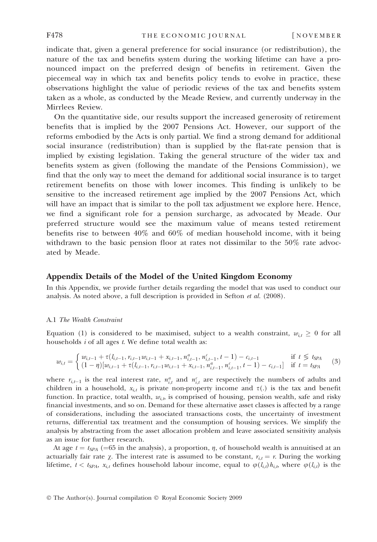indicate that, given a general preference for social insurance (or redistribution), the nature of the tax and benefits system during the working lifetime can have a pronounced impact on the preferred design of benefits in retirement. Given the piecemeal way in which tax and benefits policy tends to evolve in practice, these observations highlight the value of periodic reviews of the tax and benefits system taken as a whole, as conducted by the Meade Review, and currently underway in the Mirrlees Review.

On the quantitative side, our results support the increased generosity of retirement benefits that is implied by the 2007 Pensions Act. However, our support of the reforms embodied by the Acts is only partial. We find a strong demand for additional social insurance (redistribution) than is supplied by the flat-rate pension that is implied by existing legislation. Taking the general structure of the wider tax and benefits system as given (following the mandate of the Pensions Commission), we find that the only way to meet the demand for additional social insurance is to target retirement benefits on those with lower incomes. This finding is unlikely to be sensitive to the increased retirement age implied by the 2007 Pensions Act, which will have an impact that is similar to the poll tax adjustment we explore here. Hence, we find a significant role for a pension surcharge, as advocated by Meade. Our preferred structure would see the maximum value of means tested retirement benefits rise to between 40% and 60% of median household income, with it being withdrawn to the basic pension floor at rates not dissimilar to the 50% rate advocated by Meade.

## Appendix Details of the Model of the United Kingdom Economy

In this Appendix, we provide further details regarding the model that was used to conduct our analysis. As noted above, a full description is provided in Sefton et al. (2008).

#### A.1 The Wealth Constraint

Equation (1) is considered to be maximised, subject to a wealth constraint,  $w_{i,t} \geq 0$  for all households  $i$  of all ages  $t$ . We define total wealth as:

$$
w_{i,t} = \begin{cases} w_{i,t-1} + \tau(l_{i,t-1}, r_{i,t-1}w_{i,t-1} + x_{i,t-1}, n_{i,t-1}^a, n_{i,t-1}^c, t-1) - c_{i,t-1} & \text{if } t \leq t_{SPA} \\ (1-\eta)[w_{i,t-1} + \tau(l_{i,t-1}, r_{i,t-1}w_{i,t-1} + x_{i,t-1}, n_{i,t-1}^a, n_{i,t-1}^c, t-1) - c_{i,t-1}] & \text{if } t = t_{SPA} \end{cases} \tag{3}
$$

where  $r_{i,t-1}$  is the real interest rate,  $n_{i,t}^a$  and  $n_{i,t}^c$  are respectively the numbers of adults and children in a household,  $x_{i,t}$  is private non-property income and  $\tau(.)$  is the tax and benefit function. In practice, total wealth,  $w_{i,b}$  is comprised of housing, pension wealth, safe and risky financial investments, and so on. Demand for these alternative asset classes is affected by a range of considerations, including the associated transactions costs, the uncertainty of investment returns, differential tax treatment and the consumption of housing services. We simplify the analysis by abstracting from the asset allocation problem and leave associated sensitivity analysis as an issue for further research.

At age  $t = t_{SPA}$  (=65 in the analysis), a proportion,  $\eta$ , of household wealth is annuitised at an actuarially fair rate  $\chi$ . The interest rate is assumed to be constant,  $r_{i,t} = r$ . During the working lifetime,  $t < t_{SPA}$ ,  $x_{i,t}$  defines household labour income, equal to  $\varphi(l_{i,t})h_{i,t}$ , where  $\varphi(l_{i,t})$  is the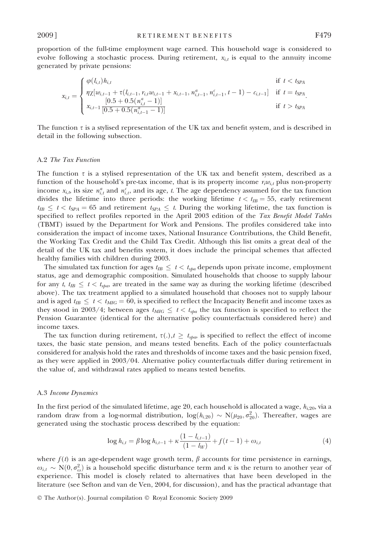$$
x_{i,t} = \begin{cases} \varphi(l_{i,t})h_{i,t} & \text{if } t < t_{SPA} \\ \eta \chi[w_{i,t-1} + \tau(l_{i,t-1}, r_{i,t}w_{i,t-1} + x_{i,t-1}, n_{i,t-1}^a, n_{i,t-1}^c, t-1) - c_{i,t-1}] & \text{if } t = t_{SPA} \\ \frac{[0.5 + 0.5(n_{i,t}^a - 1)]}{[0.5 + 0.5(n_{i,t-1}^a - 1)]} & \text{if } t > t_{SPA} \end{cases}
$$

The function  $\tau$  is a stylised representation of the UK tax and benefit system, and is described in detail in the following subsection.

#### A.2 The Tax Function

The function  $\tau$  is a stylised representation of the UK tax and benefit system, described as a function of the household's pre-tax income, that is its property income  $r_i w_{i,t}$  plus non-property income  $x_{i,t}$  its size  $n_{i,t}^a$  and  $n_{i,t}^c$ , and its age, t. The age dependency assumed for the tax function divides the lifetime into three periods: the working lifetime  $t < t_{IB} = 55$ , early retirement  $t_{IB} \leq t < t_{SPA} = 65$  and retirement  $t_{SPA} \leq t$ . During the working lifetime, the tax function is specified to reflect profiles reported in the April 2003 edition of the Tax Benefit Model Tables (TBMT) issued by the Department for Work and Pensions. The profiles considered take into consideration the impact of income taxes, National Insurance Contributions, the Child Benefit, the Working Tax Credit and the Child Tax Credit. Although this list omits a great deal of the detail of the UK tax and benefits system, it does include the principal schemes that affected healthy families with children during 2003.

The simulated tax function for ages  $t_{IB} \leq t < t_{spa}$  depends upon private income, employment status, age and demographic composition. Simulated households that choose to supply labour for any t,  $t_{IB} \leq t < t_{spa}$ , are treated in the same way as during the working lifetime (described above). The tax treatment applied to a simulated household that chooses not to supply labour and is aged  $t_{IB} \leq t < t_{MIG} = 60$ , is specified to reflect the Incapacity Benefit and income taxes as they stood in 2003/4; between ages  $t_{MIG} \leq t < t_{spa}$  the tax function is specified to reflect the Pension Guarantee (identical for the alternative policy counterfactuals considered here) and income taxes.

The tax function during retirement,  $\tau(.)$ ,  $t \geq t_{\text{spa}}$  is specified to reflect the effect of income taxes, the basic state pension, and means tested benefits. Each of the policy counterfactuals considered for analysis hold the rates and thresholds of income taxes and the basic pension fixed, as they were applied in 2003/04. Alternative policy counterfactuals differ during retirement in the value of, and withdrawal rates applied to means tested benefits.

#### A.3 Income Dynamics

In the first period of the simulated lifetime, age 20, each household is allocated a wage,  $h_{i,20}$ , via a random draw from a log-normal distribution,  $log(h_{i,20}) \sim N(\mu_{20}, \sigma_{20}^2)$ . Thereafter, wages are generated using the stochastic process described by the equation:

$$
\log h_{i,t} = \beta \log h_{i,t-1} + \kappa \frac{(1 - l_{i,t-1})}{(1 - l_W)} + f(t-1) + \omega_{i,t}
$$
\n(4)

where  $f(t)$  is an age-dependent wage growth term,  $\beta$  accounts for time persistence in earnings,  $\omega_{i,t} \sim N(0, \sigma_{\omega}^2)$  is a household specific disturbance term and  $\kappa$  is the return to another year of experience. This model is closely related to alternatives that have been developed in the literature (see Sefton and van de Ven, 2004, for discussion), and has the practical advantage that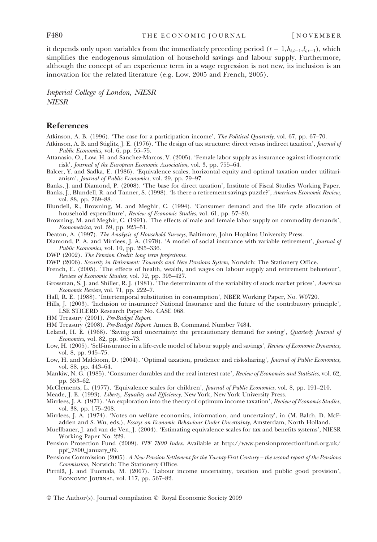it depends only upon variables from the immediately preceding period  $(t-1,h_{i,t-1},l_{i,t-1})$ , which simplifies the endogenous simulation of household savings and labour supply. Furthermore, although the concept of an experience term in a wage regression is not new, its inclusion is an innovation for the related literature (e.g. Low, 2005 and French, 2005).

Imperial College of London, NIESR NIESR

#### References

- Atkinson, A. B. (1996). 'The case for a participation income', The Political Quarterly, vol. 67, pp. 67–70.
- Atkinson, A. B. and Stiglitz, J. E. (1976). <sup>'</sup>The design of tax structure: direct versus indirect taxation', *Journal of* Public Economics, vol. 6, pp. 55–75.
- Attanasio, O., Low, H. and Sanchez-Marcos, V. (2005). 'Female labor supply as insurance against idiosyncratic risk', Journal of the European Economic Association, vol. 3, pp. 755–64.
- Balcer, Y. and Sadka, E. (1986). 'Equivalence scales, horizontal equity and optimal taxation under utilitarianism', Journal of Public Economics, vol. 29, pp. 79–97.
- Banks, J. and Diamond, P. (2008). 'The base for direct taxation', Institute of Fiscal Studies Working Paper.
- Banks, J., Blundell, R. and Tanner, S. (1998). 'Is there a retirement-savings puzzle?', American Economic Review, vol. 88, pp. 769–88.
- Blundell, R., Browning, M. and Meghir, C. (1994). 'Consumer demand and the life cycle allocation of household expenditure', Review of Economic Studies, vol. 61, pp. 57–80.
- Browning, M. and Meghir, C. (1991). 'The effects of male and female labor supply on commodity demands', Econometrica, vol. 59, pp. 925–51.
- Deaton, A. (1997). The Analysis of Household Surveys, Baltimore, John Hopkins University Press.
- Diamond, P. A. and Mirrlees, J. A. (1978). 'A model of social insurance with variable retirement', Journal of Public Economics, vol. 10, pp. 295–336.
- DWP (2002). The Pension Credit: long term projections.
- DWP (2006). Security in Retirement: Towards and New Pensions System, Norwich: The Stationery Office.
- French, E. (2005). 'The effects of health, wealth, and wages on labour supply and retirement behaviour', Review of Economic Studies, vol. 72, pp. 395–427.
- Grossman, S. J. and Shiller, R. J. (1981). 'The determinants of the variability of stock market prices', American Economic Review, vol. 71, pp. 222–7.
- Hall, R. E. (1988). 'Intertemporal substitution in consumption', NBER Working Paper, No. W0720.
- Hills, J. (2003). 'Inclusion or insurance? National Insurance and the future of the contributory principle', LSE STICERD Research Paper No. CASE 068.
- HM Treasury (2001). Pre-Budget Report.
- HM Treasury (2008). Pre-Budget Report: Annex B, Command Number 7484.
- Leland, H. E. (1968). 'Saving and uncertainty: the precautionary demand for saving', *Quarterly Journal of* Economics, vol. 82, pp. 465–73.
- Low, H. (2005). 'Self-insurance in a life-cycle model of labour supply and savings', Review of Economic Dynamics, vol. 8, pp. 945–75.
- Low, H. and Maldoom, D. (2004). 'Optimal taxation, prudence and risk-sharing', Journal of Public Economics, vol. 88, pp. 443–64.
- Mankiw, N. G. (1985). 'Consumer durables and the real interest rate', Review of Economics and Statistics, vol. 62, pp. 353–62.
- McClements, L. (1977). 'Equivalence scales for children', Journal of Public Economics, vol. 8, pp. 191–210.
- Meade, J. E. (1993). Liberty, Equality and Efficiency, New York, New York University Press.
- Mirrlees, J. A. (1971). 'An exploration into the theory of optimum income taxation', Review of Economic Studies, vol. 38, pp. 175–208.
- Mirrlees, J. A. (1974). 'Notes on welfare economics, information, and uncertainty', in (M. Balch, D. McFadden and S. Wu, eds,), Essays on Economic Behaviour Under Uncertainty, Amsterdam, North Holland.
- Muellbauer, J. and van de Ven, J. (2004). 'Estimating equivalence scales for tax and benefits systems', NIESR Working Paper No. 229.
- Pension Protection Fund (2009). PPF 7800 Index. Available at http://www.pensionprotectionfund.org.uk/ ppf\_7800\_january\_09.
- Pensions Commission (2005). A New Pension Settlement for the Twenty-First Century the second report of the Pensions Commission, Norwich: The Stationery Office.
- Pirttilä, J. and Tuomala, M. (2007). 'Labour income uncertainty, taxation and public good provision', Economic Journal, vol. 117, pp. 567–82.